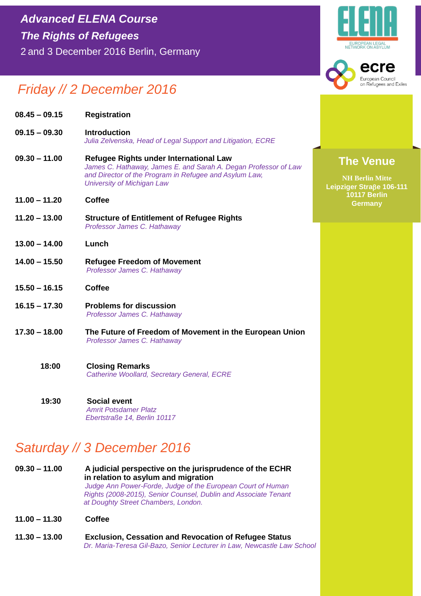#### ecre European Council on Refugees and Exiles

## *Friday // 2 December 2016*

| $08.45 - 09.15$ | <b>Registration</b>                                                                                                                                                                                      |
|-----------------|----------------------------------------------------------------------------------------------------------------------------------------------------------------------------------------------------------|
| $09.15 - 09.30$ | <b>Introduction</b><br>Julia Zelvenska, Head of Legal Support and Litigation, ECRE                                                                                                                       |
| $09.30 - 11.00$ | Refugee Rights under International Law<br>James C. Hathaway, James E. and Sarah A. Degan Professor of Law<br>and Director of the Program in Refugee and Asylum Law,<br><b>University of Michigan Law</b> |
| $11.00 - 11.20$ | <b>Coffee</b>                                                                                                                                                                                            |
| $11.20 - 13.00$ | <b>Structure of Entitlement of Refugee Rights</b><br>Professor James C. Hathaway                                                                                                                         |
| $13.00 - 14.00$ | Lunch                                                                                                                                                                                                    |
| $14.00 - 15.50$ | <b>Refugee Freedom of Movement</b><br>Professor James C. Hathaway                                                                                                                                        |
| $15.50 - 16.15$ | <b>Coffee</b>                                                                                                                                                                                            |
| $16.15 - 17.30$ | <b>Problems for discussion</b><br>Professor James C. Hathaway                                                                                                                                            |
| $17.30 - 18.00$ | The Future of Freedom of Movement in the European Union<br>Professor James C. Hathaway                                                                                                                   |
| 18:00           | <b>Closing Remarks</b><br>Catherine Woollard, Secretary General, ECRE                                                                                                                                    |
| 19:30           | <b>Social event</b>                                                                                                                                                                                      |

*Amrit Potsdamer Platz Ebertstraße 14, Berlin 10117* 

# *Saturday // 3 December 2016*

- **09.30 – 11.00 A judicial perspective on the jurisprudence of the ECHR in relation to asylum and migration** *Judge Ann Power-Forde, Judge of the European Court of Human* *Rights (2008-2015), Senior Counsel, Dublin and Associate Tenant at Doughty Street Chambers, London.*
- **11.00 – 11.30 Coffee**
- **11.30 – 13.00 Exclusion, Cessation and Revocation of Refugee Status**  *Dr. Maria-Teresa Gil-Bazo, Senior Lecturer in Law, Newcastle Law School*

### **The Venue**

**NH Berlin Mitte Leipziger Strae 106-111 10117 Berlin Germany**